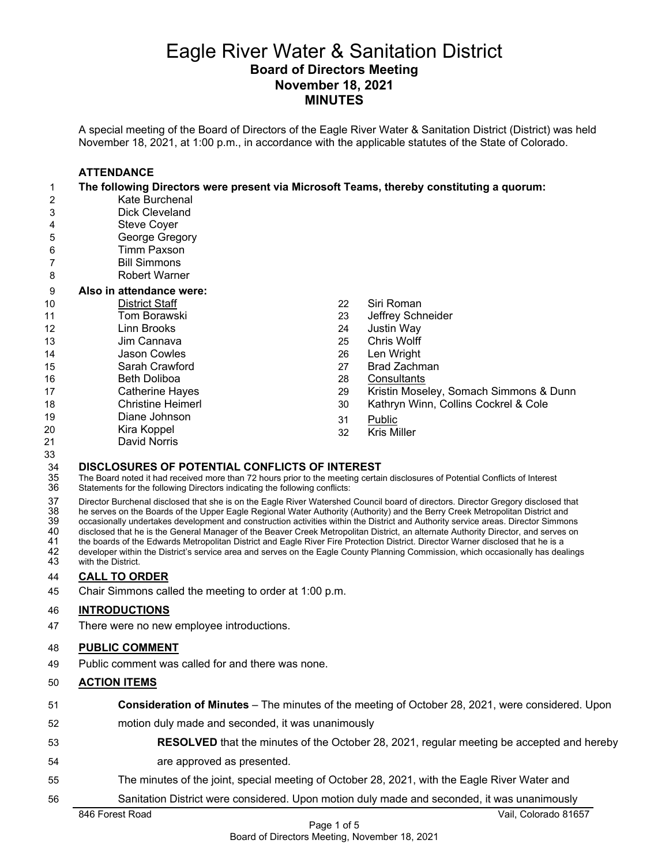## Eagle River Water & Sanitation District **Board of Directors Meeting November 18, 2021 MINUTES**

A special meeting of the Board of Directors of the Eagle River Water & Sanitation District (District) was held November 18, 2021, at 1:00 p.m., in accordance with the applicable statutes of the State of Colorado.

# **ATTENDANCE**

|    | The following Directors were present via Microsoft Teams, thereby constituting a quorum: |    |                                        |
|----|------------------------------------------------------------------------------------------|----|----------------------------------------|
| 2  | Kate Burchenal                                                                           |    |                                        |
| 3  | Dick Cleveland                                                                           |    |                                        |
| 4  | Steve Coyer                                                                              |    |                                        |
| 5  | George Gregory                                                                           |    |                                        |
| 6  | <b>Timm Paxson</b>                                                                       |    |                                        |
| 7  | <b>Bill Simmons</b>                                                                      |    |                                        |
| 8  | <b>Robert Warner</b>                                                                     |    |                                        |
| 9  | Also in attendance were:                                                                 |    |                                        |
| 10 | <b>District Staff</b>                                                                    | 22 | Siri Roman                             |
| 11 | Tom Borawski                                                                             | 23 | Jeffrey Schneider                      |
| 12 | Linn Brooks                                                                              | 24 | <b>Justin Way</b>                      |
| 13 | Jim Cannava                                                                              | 25 | Chris Wolff                            |
| 14 | Jason Cowles                                                                             | 26 | Len Wright                             |
| 15 | Sarah Crawford                                                                           | 27 | Brad Zachman                           |
| 16 | <b>Beth Doliboa</b>                                                                      | 28 | Consultants                            |
| 17 | <b>Catherine Hayes</b>                                                                   | 29 | Kristin Moseley, Somach Simmons & Dunn |
| 18 | <b>Christine Heimerl</b>                                                                 | 30 | Kathryn Winn, Collins Cockrel & Cole   |
| 19 | Diane Johnson                                                                            | 31 | Public                                 |
| 20 | Kira Koppel                                                                              | 32 | <b>Kris Miller</b>                     |
| 21 | David Norris                                                                             |    |                                        |

**DISCLOSURES OF POTENTIAL CONFLICTS OF INTEREST**<br>35 The Board noted it had received more than 72 hours prior to the meeting certai<br>36 Statements for the following Directors indicating the following conflicts: The Board noted it had received more than 72 hours prior to the meeting certain disclosures of Potential Conflicts of Interest Statements for the following Directors indicating the following conflicts:

37 Director Burchenal disclosed that she is on the Eagle River Watershed Council board of directors. Director Gregory disclosed that<br>38 he serves on the Boards of the Upper Eagle Regional Water Authority (Authority) and th he serves on the Boards of the Upper Eagle Regional Water Authority (Authority) and the Berry Creek Metropolitan District and

39 occasionally undertakes development and construction activities within the District and Authority service areas. Director Simmons 40 disclosed that he is the General Manager of the Beaver Creek Metropolitan District, an alternate Authority Director, and serves on<br>41 the boards of the Edwards Metropolitan District and Eagle River Fire Protection Distr

41 the boards of the Edwards Metropolitan District and Eagle River Fire Protection District. Director Warner disclosed that he is a<br>42 developer within the District's service area and serves on the Eagle County Planning

42 developer within the District's service area and serves on the Eagle County Planning Commission, which occasionally has dealings<br>43 with the District. with the District.

# 44 **CALL TO ORDER**

33

45 Chair Simmons called the meeting to order at 1:00 p.m.

## 46 **INTRODUCTIONS**

47 There were no new employee introductions.

## 48 **PUBLIC COMMENT**

49 Public comment was called for and there was none.

## 50 **ACTION ITEMS**

- 51 **Consideration of Minutes**  The minutes of the meeting of October 28, 2021, were considered. Upon
- 52 motion duly made and seconded, it was unanimously
- 53 **RESOLVED** that the minutes of the October 28, 2021, regular meeting be accepted and hereby 54 are approved as presented.
- 55 The minutes of the joint, special meeting of October 28, 2021, with the Eagle River Water and
- 56 Sanitation District were considered. Upon motion duly made and seconded, it was unanimously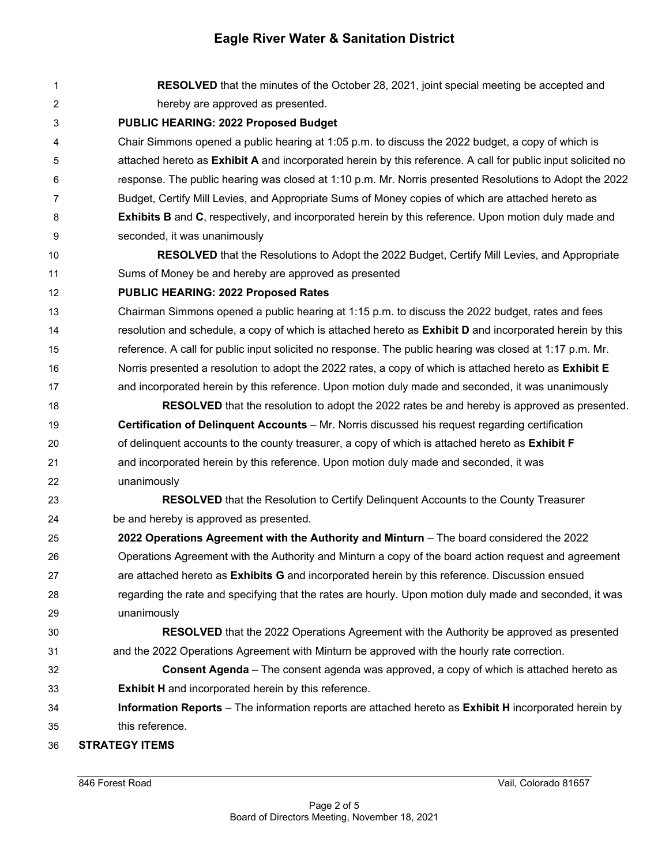| 1              | <b>RESOLVED</b> that the minutes of the October 28, 2021, joint special meeting be accepted and              |  |  |
|----------------|--------------------------------------------------------------------------------------------------------------|--|--|
| $\overline{2}$ | hereby are approved as presented.                                                                            |  |  |
| 3              | <b>PUBLIC HEARING: 2022 Proposed Budget</b>                                                                  |  |  |
| 4              | Chair Simmons opened a public hearing at 1:05 p.m. to discuss the 2022 budget, a copy of which is            |  |  |
| 5              | attached hereto as Exhibit A and incorporated herein by this reference. A call for public input solicited no |  |  |
| 6              | response. The public hearing was closed at 1:10 p.m. Mr. Norris presented Resolutions to Adopt the 2022      |  |  |
| 7              | Budget, Certify Mill Levies, and Appropriate Sums of Money copies of which are attached hereto as            |  |  |
| 8              | <b>Exhibits B</b> and C, respectively, and incorporated herein by this reference. Upon motion duly made and  |  |  |
| 9              | seconded, it was unanimously                                                                                 |  |  |
| 10             | <b>RESOLVED</b> that the Resolutions to Adopt the 2022 Budget, Certify Mill Levies, and Appropriate          |  |  |
| 11             | Sums of Money be and hereby are approved as presented                                                        |  |  |
| 12             | <b>PUBLIC HEARING: 2022 Proposed Rates</b>                                                                   |  |  |
| 13             | Chairman Simmons opened a public hearing at 1:15 p.m. to discuss the 2022 budget, rates and fees             |  |  |
| 14             | resolution and schedule, a copy of which is attached hereto as Exhibit D and incorporated herein by this     |  |  |
| 15             | reference. A call for public input solicited no response. The public hearing was closed at 1:17 p.m. Mr.     |  |  |
| 16             | Norris presented a resolution to adopt the 2022 rates, a copy of which is attached hereto as Exhibit E       |  |  |
| 17             | and incorporated herein by this reference. Upon motion duly made and seconded, it was unanimously            |  |  |
| 18             | <b>RESOLVED</b> that the resolution to adopt the 2022 rates be and hereby is approved as presented.          |  |  |
| 19             | Certification of Delinquent Accounts – Mr. Norris discussed his request regarding certification              |  |  |
| 20             | of delinquent accounts to the county treasurer, a copy of which is attached hereto as Exhibit F              |  |  |
| 21             | and incorporated herein by this reference. Upon motion duly made and seconded, it was                        |  |  |
| 22             | unanimously                                                                                                  |  |  |
| 23             | RESOLVED that the Resolution to Certify Delinquent Accounts to the County Treasurer                          |  |  |
| 24             | be and hereby is approved as presented.                                                                      |  |  |
| 25             | 2022 Operations Agreement with the Authority and Minturn - The board considered the 2022                     |  |  |
| 26             | Operations Agreement with the Authority and Minturn a copy of the board action request and agreement         |  |  |
| 27             | are attached hereto as Exhibits G and incorporated herein by this reference. Discussion ensued               |  |  |
| 28             | regarding the rate and specifying that the rates are hourly. Upon motion duly made and seconded, it was      |  |  |
| 29             | unanimously                                                                                                  |  |  |
| 30             | <b>RESOLVED</b> that the 2022 Operations Agreement with the Authority be approved as presented               |  |  |
| 31             | and the 2022 Operations Agreement with Minturn be approved with the hourly rate correction.                  |  |  |
| 32             | <b>Consent Agenda</b> – The consent agenda was approved, a copy of which is attached hereto as               |  |  |
| 33             | <b>Exhibit H</b> and incorporated herein by this reference.                                                  |  |  |
| 34             | Information Reports - The information reports are attached hereto as Exhibit H incorporated herein by        |  |  |
| 35             | this reference.                                                                                              |  |  |
| 36             | <b>STRATEGY ITEMS</b>                                                                                        |  |  |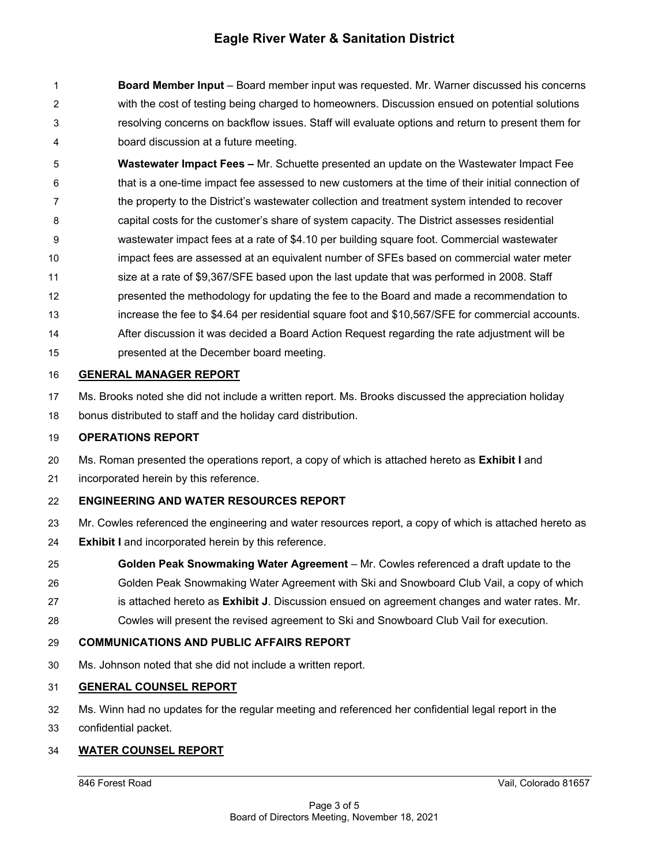1 **Board Member Input** – Board member input was requested. Mr. Warner discussed his concerns 2 with the cost of testing being charged to homeowners. Discussion ensued on potential solutions 3 resolving concerns on backflow issues. Staff will evaluate options and return to present them for 4 board discussion at a future meeting.

5 **Wastewater Impact Fees –** Mr. Schuette presented an update on the Wastewater Impact Fee 6 that is a one-time impact fee assessed to new customers at the time of their initial connection of 7 the property to the District's wastewater collection and treatment system intended to recover 8 capital costs for the customer's share of system capacity. The District assesses residential 9 wastewater impact fees at a rate of \$4.10 per building square foot. Commercial wastewater 10 impact fees are assessed at an equivalent number of SFEs based on commercial water meter 11 size at a rate of \$9,367/SFE based upon the last update that was performed in 2008. Staff 12 presented the methodology for updating the fee to the Board and made a recommendation to 13 increase the fee to \$4.64 per residential square foot and \$10,567/SFE for commercial accounts. 14 After discussion it was decided a Board Action Request regarding the rate adjustment will be 15 presented at the December board meeting.

#### 16 **GENERAL MANAGER REPORT**

17 Ms. Brooks noted she did not include a written report. Ms. Brooks discussed the appreciation holiday

18 bonus distributed to staff and the holiday card distribution.

#### 19 **OPERATIONS REPORT**

- 20 Ms. Roman presented the operations report, a copy of which is attached hereto as **Exhibit I** and
- 21 incorporated herein by this reference.

### 22 **ENGINEERING AND WATER RESOURCES REPORT**

- 23 Mr. Cowles referenced the engineering and water resources report, a copy of which is attached hereto as
- 24 **Exhibit I** and incorporated herein by this reference.
- 25 **Golden Peak Snowmaking Water Agreement** Mr. Cowles referenced a draft update to the
- 26 Golden Peak Snowmaking Water Agreement with Ski and Snowboard Club Vail, a copy of which
- 27 is attached hereto as **Exhibit J**. Discussion ensued on agreement changes and water rates. Mr.
- 28 Cowles will present the revised agreement to Ski and Snowboard Club Vail for execution.

#### 29 **COMMUNICATIONS AND PUBLIC AFFAIRS REPORT**

30 Ms. Johnson noted that she did not include a written report.

### 31 **GENERAL COUNSEL REPORT**

- 32 Ms. Winn had no updates for the regular meeting and referenced her confidential legal report in the
- 33 confidential packet.

### 34 **WATER COUNSEL REPORT**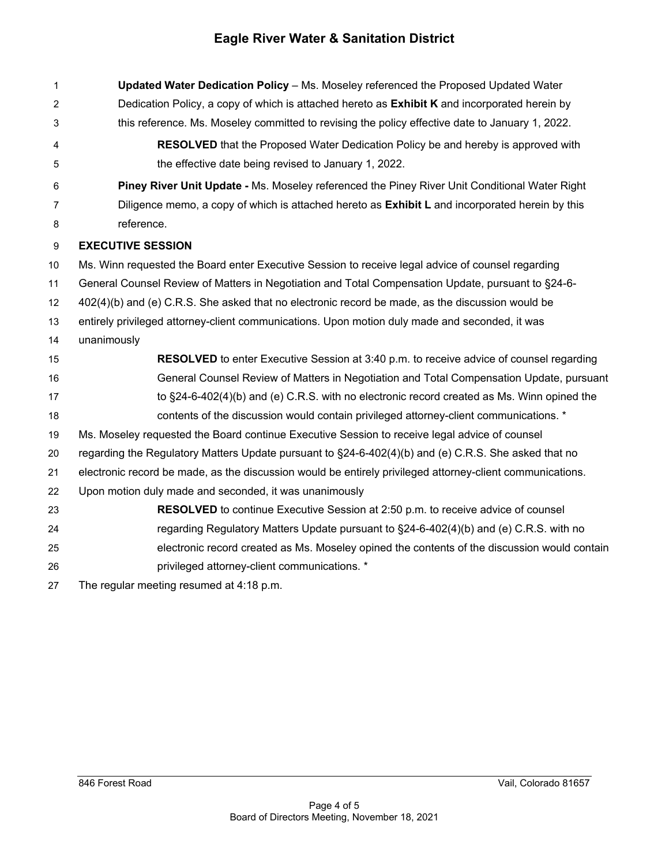| $\mathbf 1$ | Updated Water Dedication Policy - Ms. Moseley referenced the Proposed Updated Water                       |  |  |
|-------------|-----------------------------------------------------------------------------------------------------------|--|--|
| 2           | Dedication Policy, a copy of which is attached hereto as Exhibit K and incorporated herein by             |  |  |
| 3           | this reference. Ms. Moseley committed to revising the policy effective date to January 1, 2022.           |  |  |
| 4           | <b>RESOLVED</b> that the Proposed Water Dedication Policy be and hereby is approved with                  |  |  |
| 5           | the effective date being revised to January 1, 2022.                                                      |  |  |
| 6           | Piney River Unit Update - Ms. Moseley referenced the Piney River Unit Conditional Water Right             |  |  |
| 7           | Diligence memo, a copy of which is attached hereto as <b>Exhibit L</b> and incorporated herein by this    |  |  |
| 8           | reference.                                                                                                |  |  |
| 9           | <b>EXECUTIVE SESSION</b>                                                                                  |  |  |
| 10          | Ms. Winn requested the Board enter Executive Session to receive legal advice of counsel regarding         |  |  |
| 11          | General Counsel Review of Matters in Negotiation and Total Compensation Update, pursuant to §24-6-        |  |  |
| 12          | 402(4)(b) and (e) C.R.S. She asked that no electronic record be made, as the discussion would be          |  |  |
| 13          | entirely privileged attorney-client communications. Upon motion duly made and seconded, it was            |  |  |
| 14          | unanimously                                                                                               |  |  |
| 15          | <b>RESOLVED</b> to enter Executive Session at 3:40 p.m. to receive advice of counsel regarding            |  |  |
| 16          | General Counsel Review of Matters in Negotiation and Total Compensation Update, pursuant                  |  |  |
| 17          | to $\S$ 24-6-402(4)(b) and (e) C.R.S. with no electronic record created as Ms. Winn opined the            |  |  |
| 18          | contents of the discussion would contain privileged attorney-client communications. *                     |  |  |
| 19          | Ms. Moseley requested the Board continue Executive Session to receive legal advice of counsel             |  |  |
| 20          | regarding the Regulatory Matters Update pursuant to §24-6-402(4)(b) and (e) C.R.S. She asked that no      |  |  |
| 21          | electronic record be made, as the discussion would be entirely privileged attorney-client communications. |  |  |
| 22          | Upon motion duly made and seconded, it was unanimously                                                    |  |  |
| 23          | <b>RESOLVED</b> to continue Executive Session at 2:50 p.m. to receive advice of counsel                   |  |  |
| 24          | regarding Regulatory Matters Update pursuant to §24-6-402(4)(b) and (e) C.R.S. with no                    |  |  |
| 25          | electronic record created as Ms. Moseley opined the contents of the discussion would contain              |  |  |
| 26          | privileged attorney-client communications. *                                                              |  |  |
| 27          | The regular meeting resumed at 4:18 p.m.                                                                  |  |  |